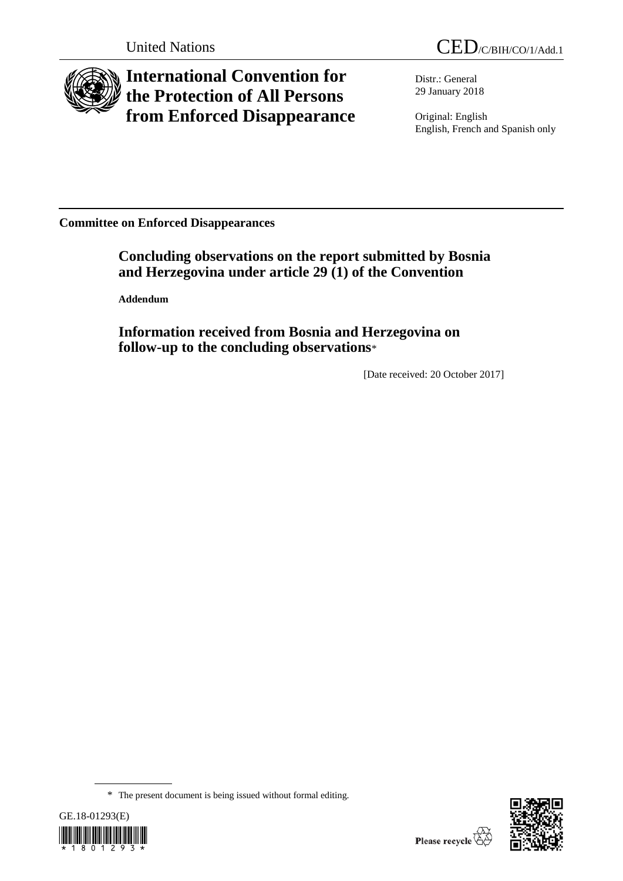

# **International Convention for the Protection of All Persons from Enforced Disappearance**

Distr.: General 29 January 2018

Original: English English, French and Spanish only

**Committee on Enforced Disappearances**

**Concluding observations on the report submitted by Bosnia and Herzegovina under article 29 (1) of the Convention**

**Addendum**

**Information received from Bosnia and Herzegovina on follow-up to the concluding observations**\*

[Date received: 20 October 2017]

<sup>\*</sup> The present document is being issued without formal editing.



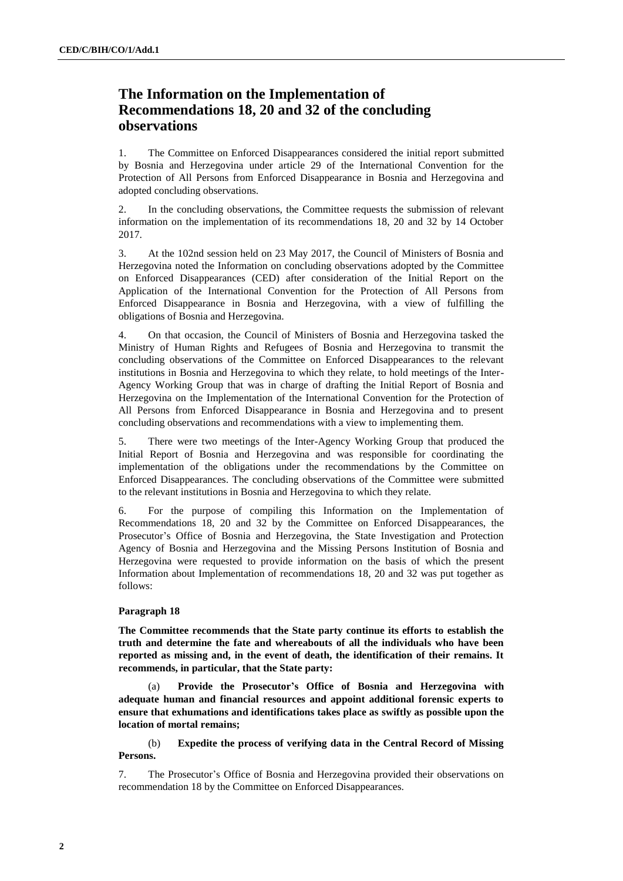## **The Information on the Implementation of Recommendations 18, 20 and 32 of the concluding observations**

1. The Committee on Enforced Disappearances considered the initial report submitted by Bosnia and Herzegovina under article 29 of the International Convention for the Protection of All Persons from Enforced Disappearance in Bosnia and Herzegovina and adopted concluding observations.

2. In the concluding observations, the Committee requests the submission of relevant information on the implementation of its recommendations 18, 20 and 32 by 14 October 2017.

3. At the 102nd session held on 23 May 2017, the Council of Ministers of Bosnia and Herzegovina noted the Information on concluding observations adopted by the Committee on Enforced Disappearances (CED) after consideration of the Initial Report on the Application of the International Convention for the Protection of All Persons from Enforced Disappearance in Bosnia and Herzegovina, with a view of fulfilling the obligations of Bosnia and Herzegovina.

4. On that occasion, the Council of Ministers of Bosnia and Herzegovina tasked the Ministry of Human Rights and Refugees of Bosnia and Herzegovina to transmit the concluding observations of the Committee on Enforced Disappearances to the relevant institutions in Bosnia and Herzegovina to which they relate, to hold meetings of the Inter-Agency Working Group that was in charge of drafting the Initial Report of Bosnia and Herzegovina on the Implementation of the International Convention for the Protection of All Persons from Enforced Disappearance in Bosnia and Herzegovina and to present concluding observations and recommendations with a view to implementing them.

5. There were two meetings of the Inter-Agency Working Group that produced the Initial Report of Bosnia and Herzegovina and was responsible for coordinating the implementation of the obligations under the recommendations by the Committee on Enforced Disappearances. The concluding observations of the Committee were submitted to the relevant institutions in Bosnia and Herzegovina to which they relate.

6. For the purpose of compiling this Information on the Implementation of Recommendations 18, 20 and 32 by the Committee on Enforced Disappearances, the Prosecutor's Office of Bosnia and Herzegovina, the State Investigation and Protection Agency of Bosnia and Herzegovina and the Missing Persons Institution of Bosnia and Herzegovina were requested to provide information on the basis of which the present Information about Implementation of recommendations 18, 20 and 32 was put together as follows:

#### **Paragraph 18**

**The Committee recommends that the State party continue its efforts to establish the truth and determine the fate and whereabouts of all the individuals who have been reported as missing and, in the event of death, the identification of their remains. It recommends, in particular, that the State party:** 

(a) **Provide the Prosecutor's Office of Bosnia and Herzegovina with adequate human and financial resources and appoint additional forensic experts to ensure that exhumations and identifications takes place as swiftly as possible upon the location of mortal remains;**

(b) **Expedite the process of verifying data in the Central Record of Missing Persons.**

7. The Prosecutor's Office of Bosnia and Herzegovina provided their observations on recommendation 18 by the Committee on Enforced Disappearances.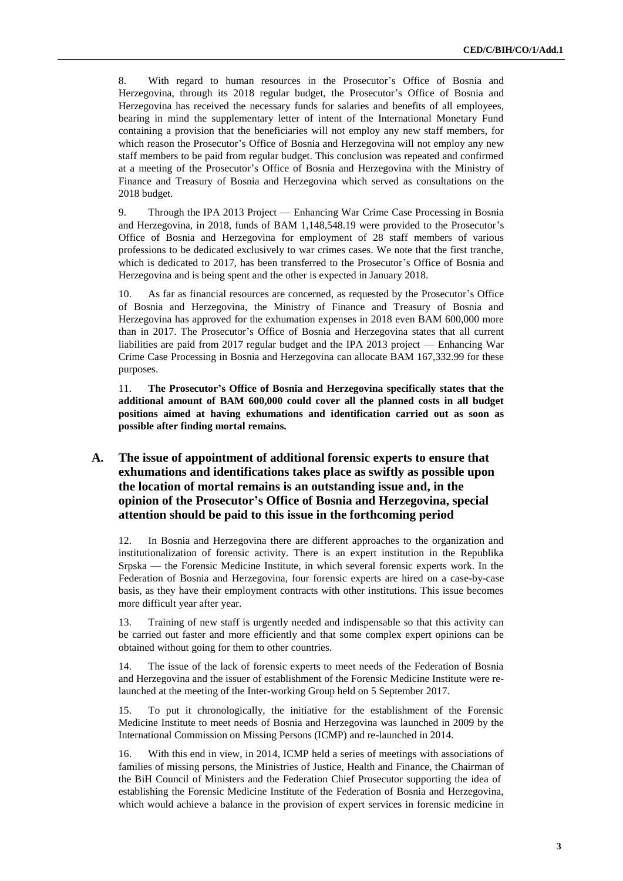8. With regard to human resources in the Prosecutor's Office of Bosnia and Herzegovina, through its 2018 regular budget, the Prosecutor's Office of Bosnia and Herzegovina has received the necessary funds for salaries and benefits of all employees, bearing in mind the supplementary letter of intent of the International Monetary Fund containing a provision that the beneficiaries will not employ any new staff members, for which reason the Prosecutor's Office of Bosnia and Herzegovina will not employ any new staff members to be paid from regular budget. This conclusion was repeated and confirmed at a meeting of the Prosecutor's Office of Bosnia and Herzegovina with the Ministry of Finance and Treasury of Bosnia and Herzegovina which served as consultations on the 2018 budget.

9. Through the IPA 2013 Project — Enhancing War Crime Case Processing in Bosnia and Herzegovina, in 2018, funds of BAM 1,148,548.19 were provided to the Prosecutor's Office of Bosnia and Herzegovina for employment of 28 staff members of various professions to be dedicated exclusively to war crimes cases. We note that the first tranche, which is dedicated to 2017, has been transferred to the Prosecutor's Office of Bosnia and Herzegovina and is being spent and the other is expected in January 2018.

10. As far as financial resources are concerned, as requested by the Prosecutor's Office of Bosnia and Herzegovina, the Ministry of Finance and Treasury of Bosnia and Herzegovina has approved for the exhumation expenses in 2018 even BAM 600,000 more than in 2017. The Prosecutor's Office of Bosnia and Herzegovina states that all current liabilities are paid from 2017 regular budget and the IPA 2013 project — Enhancing War Crime Case Processing in Bosnia and Herzegovina can allocate BAM 167,332.99 for these purposes.

11. **The Prosecutor's Office of Bosnia and Herzegovina specifically states that the additional amount of BAM 600,000 could cover all the planned costs in all budget positions aimed at having exhumations and identification carried out as soon as possible after finding mortal remains.**

### **A. The issue of appointment of additional forensic experts to ensure that exhumations and identifications takes place as swiftly as possible upon the location of mortal remains is an outstanding issue and, in the opinion of the Prosecutor's Office of Bosnia and Herzegovina, special attention should be paid to this issue in the forthcoming period**

12. In Bosnia and Herzegovina there are different approaches to the organization and institutionalization of forensic activity. There is an expert institution in the Republika Srpska — the Forensic Medicine Institute, in which several forensic experts work. In the Federation of Bosnia and Herzegovina, four forensic experts are hired on a case-by-case basis, as they have their employment contracts with other institutions. This issue becomes more difficult year after year.

13. Training of new staff is urgently needed and indispensable so that this activity can be carried out faster and more efficiently and that some complex expert opinions can be obtained without going for them to other countries.

14. The issue of the lack of forensic experts to meet needs of the Federation of Bosnia and Herzegovina and the issuer of establishment of the Forensic Medicine Institute were relaunched at the meeting of the Inter-working Group held on 5 September 2017.

15. To put it chronologically, the initiative for the establishment of the Forensic Medicine Institute to meet needs of Bosnia and Herzegovina was launched in 2009 by the International Commission on Missing Persons (ICMP) and re-launched in 2014.

16. With this end in view, in 2014, ICMP held a series of meetings with associations of families of missing persons, the Ministries of Justice, Health and Finance, the Chairman of the BiH Council of Ministers and the Federation Chief Prosecutor supporting the idea of establishing the Forensic Medicine Institute of the Federation of Bosnia and Herzegovina, which would achieve a balance in the provision of expert services in forensic medicine in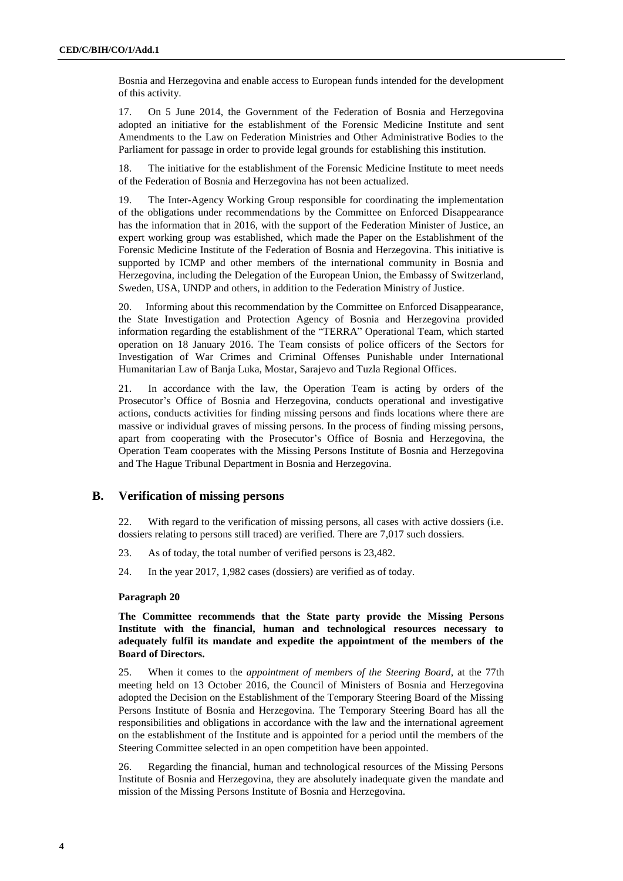Bosnia and Herzegovina and enable access to European funds intended for the development of this activity.

17. On 5 June 2014, the Government of the Federation of Bosnia and Herzegovina adopted an initiative for the establishment of the Forensic Medicine Institute and sent Amendments to the Law on Federation Ministries and Other Administrative Bodies to the Parliament for passage in order to provide legal grounds for establishing this institution.

18. The initiative for the establishment of the Forensic Medicine Institute to meet needs of the Federation of Bosnia and Herzegovina has not been actualized.

19. The Inter-Agency Working Group responsible for coordinating the implementation of the obligations under recommendations by the Committee on Enforced Disappearance has the information that in 2016, with the support of the Federation Minister of Justice, an expert working group was established, which made the Paper on the Establishment of the Forensic Medicine Institute of the Federation of Bosnia and Herzegovina. This initiative is supported by ICMP and other members of the international community in Bosnia and Herzegovina, including the Delegation of the European Union, the Embassy of Switzerland, Sweden, USA, UNDP and others, in addition to the Federation Ministry of Justice.

20. Informing about this recommendation by the Committee on Enforced Disappearance, the State Investigation and Protection Agency of Bosnia and Herzegovina provided information regarding the establishment of the "TERRA" Operational Team, which started operation on 18 January 2016. The Team consists of police officers of the Sectors for Investigation of War Crimes and Criminal Offenses Punishable under International Humanitarian Law of Banja Luka, Mostar, Sarajevo and Tuzla Regional Offices.

21. In accordance with the law, the Operation Team is acting by orders of the Prosecutor's Office of Bosnia and Herzegovina, conducts operational and investigative actions, conducts activities for finding missing persons and finds locations where there are massive or individual graves of missing persons. In the process of finding missing persons, apart from cooperating with the Prosecutor's Office of Bosnia and Herzegovina, the Operation Team cooperates with the Missing Persons Institute of Bosnia and Herzegovina and The Hague Tribunal Department in Bosnia and Herzegovina.

#### **B. Verification of missing persons**

22. With regard to the verification of missing persons, all cases with active dossiers (i.e. dossiers relating to persons still traced) are verified. There are 7,017 such dossiers.

- 23. As of today, the total number of verified persons is 23,482.
- 24. In the year 2017, 1,982 cases (dossiers) are verified as of today.

#### **Paragraph 20**

**The Committee recommends that the State party provide the Missing Persons Institute with the financial, human and technological resources necessary to adequately fulfil its mandate and expedite the appointment of the members of the Board of Directors.**

25. When it comes to the *appointment of members of the Steering Board*, at the 77th meeting held on 13 October 2016, the Council of Ministers of Bosnia and Herzegovina adopted the Decision on the Establishment of the Temporary Steering Board of the Missing Persons Institute of Bosnia and Herzegovina. The Temporary Steering Board has all the responsibilities and obligations in accordance with the law and the international agreement on the establishment of the Institute and is appointed for a period until the members of the Steering Committee selected in an open competition have been appointed.

26. Regarding the financial, human and technological resources of the Missing Persons Institute of Bosnia and Herzegovina, they are absolutely inadequate given the mandate and mission of the Missing Persons Institute of Bosnia and Herzegovina.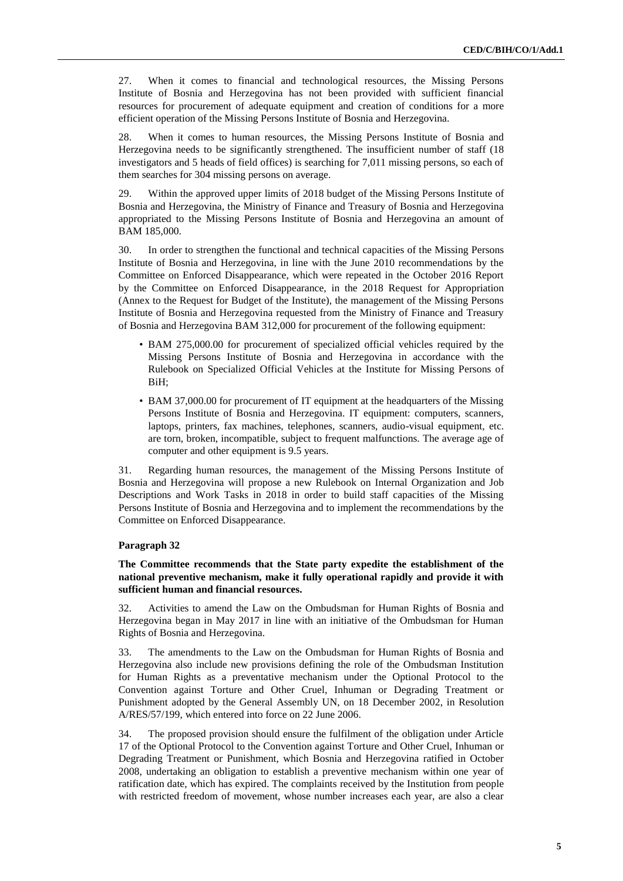27. When it comes to financial and technological resources, the Missing Persons Institute of Bosnia and Herzegovina has not been provided with sufficient financial resources for procurement of adequate equipment and creation of conditions for a more efficient operation of the Missing Persons Institute of Bosnia and Herzegovina.

28. When it comes to human resources, the Missing Persons Institute of Bosnia and Herzegovina needs to be significantly strengthened. The insufficient number of staff (18 investigators and 5 heads of field offices) is searching for 7,011 missing persons, so each of them searches for 304 missing persons on average.

29. Within the approved upper limits of 2018 budget of the Missing Persons Institute of Bosnia and Herzegovina, the Ministry of Finance and Treasury of Bosnia and Herzegovina appropriated to the Missing Persons Institute of Bosnia and Herzegovina an amount of BAM 185,000.

30. In order to strengthen the functional and technical capacities of the Missing Persons Institute of Bosnia and Herzegovina, in line with the June 2010 recommendations by the Committee on Enforced Disappearance, which were repeated in the October 2016 Report by the Committee on Enforced Disappearance, in the 2018 Request for Appropriation (Annex to the Request for Budget of the Institute), the management of the Missing Persons Institute of Bosnia and Herzegovina requested from the Ministry of Finance and Treasury of Bosnia and Herzegovina BAM 312,000 for procurement of the following equipment:

- BAM 275,000.00 for procurement of specialized official vehicles required by the Missing Persons Institute of Bosnia and Herzegovina in accordance with the Rulebook on Specialized Official Vehicles at the Institute for Missing Persons of BiH;
- BAM 37,000.00 for procurement of IT equipment at the headquarters of the Missing Persons Institute of Bosnia and Herzegovina. IT equipment: computers, scanners, laptops, printers, fax machines, telephones, scanners, audio-visual equipment, etc. are torn, broken, incompatible, subject to frequent malfunctions. The average age of computer and other equipment is 9.5 years.

31. Regarding human resources, the management of the Missing Persons Institute of Bosnia and Herzegovina will propose a new Rulebook on Internal Organization and Job Descriptions and Work Tasks in 2018 in order to build staff capacities of the Missing Persons Institute of Bosnia and Herzegovina and to implement the recommendations by the Committee on Enforced Disappearance.

#### **Paragraph 32**

**The Committee recommends that the State party expedite the establishment of the national preventive mechanism, make it fully operational rapidly and provide it with sufficient human and financial resources.**

32. Activities to amend the Law on the Ombudsman for Human Rights of Bosnia and Herzegovina began in May 2017 in line with an initiative of the Ombudsman for Human Rights of Bosnia and Herzegovina.

33. The amendments to the Law on the Ombudsman for Human Rights of Bosnia and Herzegovina also include new provisions defining the role of the Ombudsman Institution for Human Rights as a preventative mechanism under the Optional Protocol to the Convention against Torture and Other Cruel, Inhuman or Degrading Treatment or Punishment adopted by the General Assembly UN, on 18 December 2002, in Resolution A/RES/57/199, which entered into force on 22 June 2006.

34. The proposed provision should ensure the fulfilment of the obligation under Article 17 of the Optional Protocol to the Convention against Torture and Other Cruel, Inhuman or Degrading Treatment or Punishment, which Bosnia and Herzegovina ratified in October 2008, undertaking an obligation to establish a preventive mechanism within one year of ratification date, which has expired. The complaints received by the Institution from people with restricted freedom of movement, whose number increases each year, are also a clear